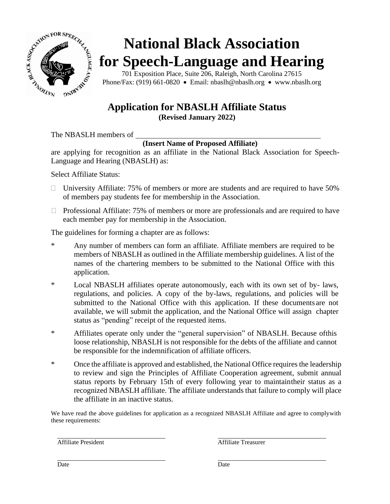

# **National Black Association for Speech-Language and Hearing**

701 Exposition Place, Suite 206, Raleigh, North Carolina 27615 Phone/Fax: (919) 661-0820 • Email: nbaslh@nbaslh.org • www.nbaslh.org

## **Application for NBASLH Affiliate Status**

**(Revised January 2022)**

The NBASLH members of

#### **(Insert Name of Proposed Affiliate)**

are applying for recognition as an affiliate in the National Black Association for Speech-Language and Hearing (NBASLH) as:

Select Affiliate Status:

- $\Box$  University Affiliate: 75% of members or more are students and are required to have 50% of members pay students fee for membership in the Association.
- $\Box$  Professional Affiliate: 75% of members or more are professionals and are required to have each member pay for membership in the Association.

The guidelines for forming a chapter are as follows:

- \* Any number of members can form an affiliate. Affiliate members are required to be members of NBASLH as outlined in the Affiliate membership guidelines. A list of the names of the chartering members to be submitted to the National Office with this application.
- \* Local NBASLH affiliates operate autonomously, each with its own set of by- laws, regulations, and policies. A copy of the by-laws, regulations, and policies will be submitted to the National Office with this application. If these documents are not available, we will submit the application, and the National Office will assign chapter status as "pending" receipt of the requested items.
- \* Affiliates operate only under the "general supervision" of NBASLH. Because ofthis loose relationship, NBASLH is not responsible for the debts of the affiliate and cannot be responsible for the indemnification of affiliate officers.
- \* Once the affiliate is approved and established, the National Office requires the leadership to review and sign the Principles of Affiliate Cooperation agreement, submit annual status reports by February 15th of every following year to maintaintheir status as a recognized NBASLH affiliate. The affiliate understands that failure to comply will place the affiliate in an inactive status.

We have read the above guidelines for application as a recognized NBASLH Affiliate and agree to complywith these requirements:

Affiliate President Affiliate Treasurer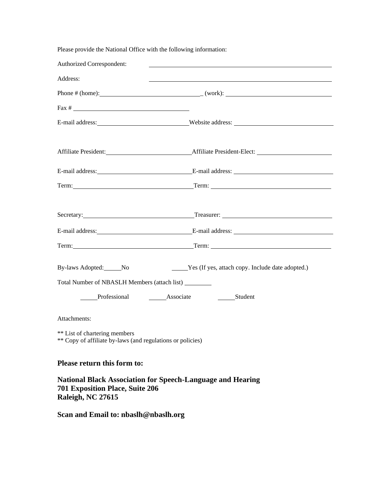Please provide the National Office with the following information:

| Authorized Correspondent:                                                                                                        |                                                                                                                                                                                                                               |
|----------------------------------------------------------------------------------------------------------------------------------|-------------------------------------------------------------------------------------------------------------------------------------------------------------------------------------------------------------------------------|
| Address:                                                                                                                         |                                                                                                                                                                                                                               |
|                                                                                                                                  | Phone # (home): $(work):$                                                                                                                                                                                                     |
|                                                                                                                                  |                                                                                                                                                                                                                               |
|                                                                                                                                  | E-mail address: Website address: Website address:                                                                                                                                                                             |
|                                                                                                                                  |                                                                                                                                                                                                                               |
|                                                                                                                                  |                                                                                                                                                                                                                               |
|                                                                                                                                  |                                                                                                                                                                                                                               |
|                                                                                                                                  | Secretary: Treasurer: Treasurer: Treasurer: 2004                                                                                                                                                                              |
|                                                                                                                                  |                                                                                                                                                                                                                               |
|                                                                                                                                  | Term: Term: Term: Term: Term: Term: Term: Term: Term: Term: Term: Term: Term: Term: Term: Term: Term: Term: Term: Term: Term: Term: Term: Term: Term: Term: Term: Term: Term: Term: Term: Term: Term: Term: Term: Term: Term: |
| By-laws Adopted: No                                                                                                              | Yes (If yes, attach copy. Include date adopted.)                                                                                                                                                                              |
| Total Number of NBASLH Members (attach list) _________                                                                           |                                                                                                                                                                                                                               |
| Professional Associate                                                                                                           | _________Student                                                                                                                                                                                                              |
| Attachments:                                                                                                                     |                                                                                                                                                                                                                               |
| ** List of chartering members<br>** Copy of affiliate by-laws (and regulations or policies)                                      |                                                                                                                                                                                                                               |
| Please return this form to:                                                                                                      |                                                                                                                                                                                                                               |
| <b>National Black Association for Speech-Language and Hearing</b><br><b>701 Exposition Place, Suite 206</b><br>Raleigh, NC 27615 |                                                                                                                                                                                                                               |

**Scan and Email to: [nbaslh@nbaslh.org](mailto:nbaslh@nbaslh.org)**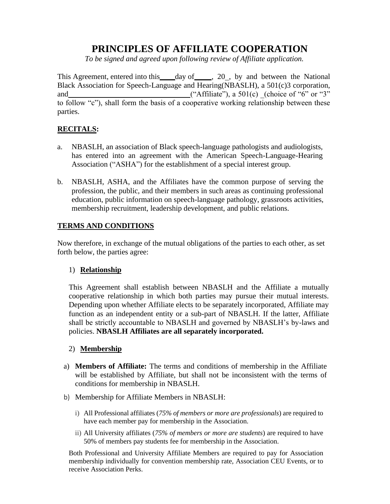### **PRINCIPLES OF AFFILIATE COOPERATION**

*To be signed and agreed upon following review of Affiliate application.*

This Agreement, entered into this day of , 20, by and between the National Black Association for Speech-Language and Hearing(NBASLH), a 501(c)3 corporation, and  $($ "Affiliate"), a  $501(c)$  (choice of "6" or "3" to follow "c"), shall form the basis of a cooperative working relationship between these parties.

#### **RECITALS:**

- a. NBASLH, an association of Black speech-language pathologists and audiologists, has entered into an agreement with the American Speech-Language-Hearing Association ("ASHA") for the establishment of a special interest group.
- b. NBASLH, ASHA, and the Affiliates have the common purpose of serving the profession, the public, and their members in such areas as continuing professional education, public information on speech-language pathology, grassroots activities, membership recruitment, leadership development, and public relations.

#### **TERMS AND CONDITIONS**

Now therefore, in exchange of the mutual obligations of the parties to each other, as set forth below, the parties agree:

#### 1) **Relationship**

This Agreement shall establish between NBASLH and the Affiliate a mutually cooperative relationship in which both parties may pursue their mutual interests. Depending upon whether Affiliate elects to be separately incorporated, Affiliate may function as an independent entity or a sub-part of NBASLH. If the latter, Affiliate shall be strictly accountable to NBASLH and governed by NBASLH's by-laws and policies. **NBASLH Affiliates are all separately incorporated.**

#### 2) **Membership**

- a) **Members of Affiliate:** The terms and conditions of membership in the Affiliate will be established by Affiliate, but shall not be inconsistent with the terms of conditions for membership in NBASLH.
- b) Membership for Affiliate Members in NBASLH:
	- i) All Professional affiliates (*75% of members or more are professionals*) are required to have each member pay for membership in the Association.
	- ii) All University affiliates (*75% of members or more are students*) are required to have 50% of members pay students fee for membership in the Association.

Both Professional and University Affiliate Members are required to pay for Association membership individually for convention membership rate, Association CEU Events, or to receive Association Perks.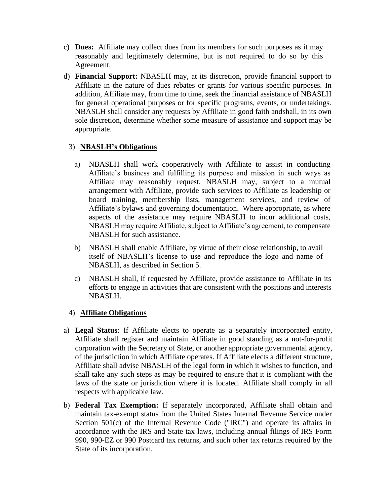- c) **Dues:** Affiliate may collect dues from its members for such purposes as it may reasonably and legitimately determine, but is not required to do so by this Agreement.
- d) **Financial Support:** NBASLH may, at its discretion, provide financial support to Affiliate in the nature of dues rebates or grants for various specific purposes. In addition, Affiliate may, from time to time, seek the financial assistance of NBASLH for general operational purposes or for specific programs, events, or undertakings. NBASLH shall consider any requests by Affiliate in good faith andshall, in its own sole discretion, determine whether some measure of assistance and support may be appropriate.

#### 3) **NBASLH's Obligations**

- a) NBASLH shall work cooperatively with Affiliate to assist in conducting Affiliate's business and fulfilling its purpose and mission in such ways as Affiliate may reasonably request. NBASLH may, subject to a mutual arrangement with Affiliate, provide such services to Affiliate as leadership or board training, membership lists, management services, and review of Affiliate's bylaws and governing documentation. Where appropriate, as where aspects of the assistance may require NBASLH to incur additional costs, NBASLH may require Affiliate, subject to Affiliate's agreement, to compensate NBASLH for such assistance.
- b) NBASLH shall enable Affiliate, by virtue of their close relationship, to avail itself of NBASLH's license to use and reproduce the logo and name of NBASLH, as described in Section 5.
- c) NBASLH shall, if requested by Affiliate, provide assistance to Affiliate in its efforts to engage in activities that are consistent with the positions and interests NBASLH.

#### 4) **Affiliate Obligations**

- a) **Legal Status**: If Affiliate elects to operate as a separately incorporated entity, Affiliate shall register and maintain Affiliate in good standing as a not-for-profit corporation with the Secretary of State, or another appropriate governmental agency, of the jurisdiction in which Affiliate operates. If Affiliate elects a different structure, Affiliate shall advise NBASLH of the legal form in which it wishes to function, and shall take any such steps as may be required to ensure that it is compliant with the laws of the state or jurisdiction where it is located. Affiliate shall comply in all respects with applicable law.
- b) **Federal Tax Exemption:** If separately incorporated, Affiliate shall obtain and maintain tax-exempt status from the United States Internal Revenue Service under Section 501(c) of the Internal Revenue Code ("IRC") and operate its affairs in accordance with the IRS and State tax laws, including annual filings of IRS Form 990, 990-EZ or 990 Postcard tax returns, and such other tax returns required by the State of its incorporation.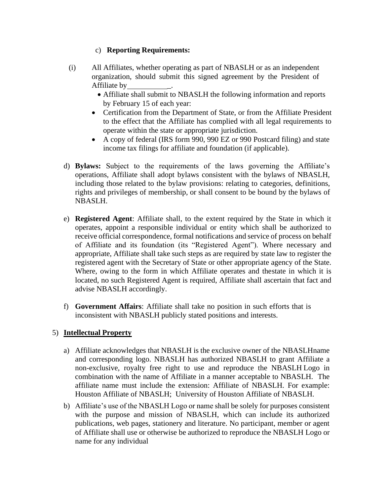#### c) **Reporting Requirements:**

- (i) All Affiliates, whether operating as part of NBASLH or as an independent organization, should submit this signed agreement by the President of Affiliate by \_.
	- Affiliate shall submit to NBASLH the following information and reports by February 15 of each year:
	- Certification from the Department of State, or from the Affiliate President to the effect that the Affiliate has complied with all legal requirements to operate within the state or appropriate jurisdiction.
	- A copy of federal (IRS form 990, 990 EZ or 990 Postcard filing) and state income tax filings for affiliate and foundation (if applicable).
- d) **Bylaws:** Subject to the requirements of the laws governing the Affiliate's operations, Affiliate shall adopt bylaws consistent with the bylaws of NBASLH, including those related to the bylaw provisions: relating to categories, definitions, rights and privileges of membership, or shall consent to be bound by the bylaws of NBASLH.
- e) **Registered Agent**: Affiliate shall, to the extent required by the State in which it operates, appoint a responsible individual or entity which shall be authorized to receive official correspondence, formal notifications and service of process on behalf of Affiliate and its foundation (its "Registered Agent"). Where necessary and appropriate, Affiliate shall take such steps as are required by state law to register the registered agent with the Secretary of State or other appropriate agency of the State. Where, owing to the form in which Affiliate operates and thestate in which it is located, no such Registered Agent is required, Affiliate shall ascertain that fact and advise NBASLH accordingly.
- f) **Government Affairs**: Affiliate shall take no position in such efforts that is inconsistent with NBASLH publicly stated positions and interests.

#### 5) **Intellectual Property**

- a) Affiliate acknowledges that NBASLH is the exclusive owner of the NBASLHname and corresponding logo. NBASLH has authorized NBASLH to grant Affiliate a non-exclusive, royalty free right to use and reproduce the NBASLH Logo in combination with the name of Affiliate in a manner acceptable to NBASLH. The affiliate name must include the extension: Affiliate of NBASLH. For example: Houston Affiliate of NBASLH; University of Houston Affiliate of NBASLH.
- b) Affiliate's use of the NBASLH Logo or name shall be solely for purposes consistent with the purpose and mission of NBASLH, which can include its authorized publications, web pages, stationery and literature. No participant, member or agent of Affiliate shall use or otherwise be authorized to reproduce the NBASLH Logo or name for any individual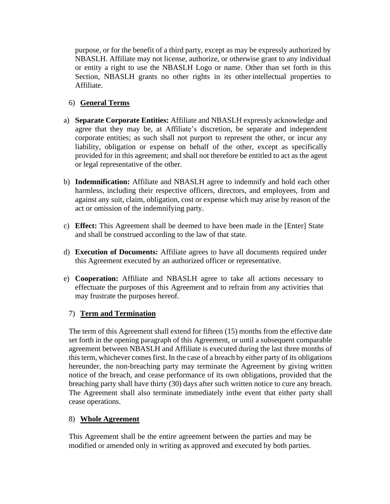purpose, or for the benefit of a third party, except as may be expressly authorized by NBASLH. Affiliate may not license, authorize, or otherwise grant to any individual or entity a right to use the NBASLH Logo or name. Other than set forth in this Section, NBASLH grants no other rights in its other intellectual properties to Affiliate.

#### 6) **General Terms**

- a) **Separate Corporate Entities:** Affiliate and NBASLH expressly acknowledge and agree that they may be, at Affiliate's discretion, be separate and independent corporate entities; as such shall not purport to represent the other, or incur any liability, obligation or expense on behalf of the other, except as specifically provided for in this agreement; and shall not therefore be entitled to act as the agent or legal representative of the other.
- b) **Indemnification:** Affiliate and NBASLH agree to indemnify and hold each other harmless, including their respective officers, directors, and employees, from and against any suit, claim, obligation, cost or expense which may arise by reason of the act or omission of the indemnifying party.
- c) **Effect:** This Agreement shall be deemed to have been made in the [Enter] State and shall be construed according to the law of that state.
- d) **Execution of Documents:** Affiliate agrees to have all documents required under this Agreement executed by an authorized officer or representative.
- e) **Cooperation:** Affiliate and NBASLH agree to take all actions necessary to effectuate the purposes of this Agreement and to refrain from any activities that may frustrate the purposes hereof.

#### 7) **Term and Termination**

The term of this Agreement shall extend for fifteen (15) months from the effective date set forth in the opening paragraph of this Agreement, or until a subsequent comparable agreement between NBASLH and Affiliate is executed during the last three months of this term, whichever comes first. In the case of a breach by either party of its obligations hereunder, the non-breaching party may terminate the Agreement by giving written notice of the breach, and cease performance of its own obligations, provided that the breaching party shall have thirty (30) days after such written notice to cure any breach. The Agreement shall also terminate immediately inthe event that either party shall cease operations.

#### 8) **Whole Agreement**

This Agreement shall be the entire agreement between the parties and may be modified or amended only in writing as approved and executed by both parties.